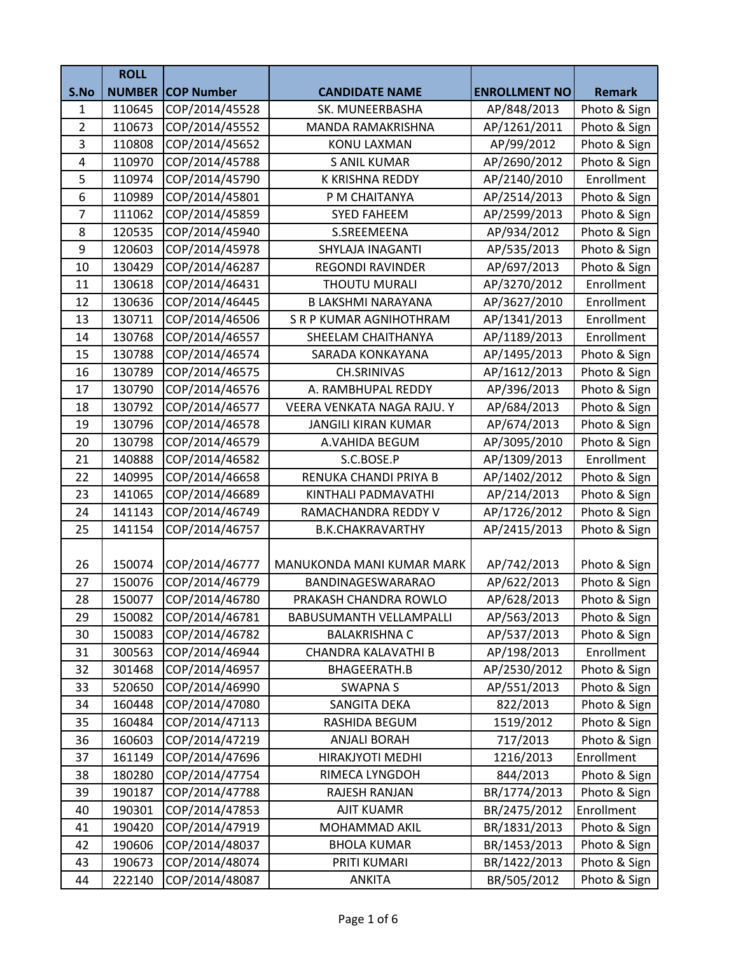|                | <b>ROLL</b>   |                   |                            |                      |               |
|----------------|---------------|-------------------|----------------------------|----------------------|---------------|
| S.No           | <b>NUMBER</b> | <b>COP Number</b> | <b>CANDIDATE NAME</b>      | <b>ENROLLMENT NO</b> | <b>Remark</b> |
| 1              | 110645        | COP/2014/45528    | SK. MUNEERBASHA            | AP/848/2013          | Photo & Sign  |
| $\overline{2}$ | 110673        | COP/2014/45552    | MANDA RAMAKRISHNA          | AP/1261/2011         | Photo & Sign  |
| 3              | 110808        | COP/2014/45652    | <b>KONU LAXMAN</b>         | AP/99/2012           | Photo & Sign  |
| $\overline{4}$ | 110970        | COP/2014/45788    | <b>S ANIL KUMAR</b>        | AP/2690/2012         | Photo & Sign  |
| 5              | 110974        | COP/2014/45790    | K KRISHNA REDDY            | AP/2140/2010         | Enrollment    |
| 6              | 110989        | COP/2014/45801    | P M CHAITANYA              | AP/2514/2013         | Photo & Sign  |
| $\overline{7}$ | 111062        | COP/2014/45859    | <b>SYED FAHEEM</b>         | AP/2599/2013         | Photo & Sign  |
| 8              | 120535        | COP/2014/45940    | S.SREEMEENA                | AP/934/2012          | Photo & Sign  |
| 9              | 120603        | COP/2014/45978    | SHYLAJA INAGANTI           | AP/535/2013          | Photo & Sign  |
| 10             | 130429        | COP/2014/46287    | <b>REGONDI RAVINDER</b>    | AP/697/2013          | Photo & Sign  |
| 11             | 130618        | COP/2014/46431    | THOUTU MURALI              | AP/3270/2012         | Enrollment    |
| 12             | 130636        | COP/2014/46445    | <b>B LAKSHMI NARAYANA</b>  | AP/3627/2010         | Enrollment    |
| 13             | 130711        | COP/2014/46506    | S R P KUMAR AGNIHOTHRAM    | AP/1341/2013         | Enrollment    |
| 14             | 130768        | COP/2014/46557    | SHEELAM CHAITHANYA         | AP/1189/2013         | Enrollment    |
| 15             | 130788        | COP/2014/46574    | SARADA KONKAYANA           | AP/1495/2013         | Photo & Sign  |
| 16             | 130789        | COP/2014/46575    | <b>CH.SRINIVAS</b>         | AP/1612/2013         | Photo & Sign  |
| 17             | 130790        | COP/2014/46576    | A. RAMBHUPAL REDDY         | AP/396/2013          | Photo & Sign  |
| 18             | 130792        | COP/2014/46577    | VEERA VENKATA NAGA RAJU. Y | AP/684/2013          | Photo & Sign  |
| 19             | 130796        | COP/2014/46578    | <b>JANGILI KIRAN KUMAR</b> | AP/674/2013          | Photo & Sign  |
| 20             | 130798        | COP/2014/46579    | A.VAHIDA BEGUM             | AP/3095/2010         | Photo & Sign  |
| 21             | 140888        | COP/2014/46582    | S.C.BOSE.P                 | AP/1309/2013         | Enrollment    |
| 22             | 140995        | COP/2014/46658    | RENUKA CHANDI PRIYA B      | AP/1402/2012         | Photo & Sign  |
| 23             | 141065        | COP/2014/46689    | KINTHALI PADMAVATHI        | AP/214/2013          | Photo & Sign  |
| 24             | 141143        | COP/2014/46749    | RAMACHANDRA REDDY V        | AP/1726/2012         | Photo & Sign  |
| 25             | 141154        | COP/2014/46757    | <b>B.K.CHAKRAVARTHY</b>    | AP/2415/2013         | Photo & Sign  |
|                |               |                   |                            |                      |               |
| 26             | 150074        | COP/2014/46777    | MANUKONDA MANI KUMAR MARK  | AP/742/2013          | Photo & Sign  |
| 27             | 150076        | COP/2014/46779    | BANDINAGESWARARAO          | AP/622/2013          | Photo & Sign  |
| 28             | 150077        | COP/2014/46780    | PRAKASH CHANDRA ROWLO      | AP/628/2013          | Photo & Sign  |
| 29             | 150082        | COP/2014/46781    | BABUSUMANTH VELLAMPALLI    | AP/563/2013          | Photo & Sign  |
| 30             | 150083        | COP/2014/46782    | <b>BALAKRISHNA C</b>       | AP/537/2013          | Photo & Sign  |
| 31             | 300563        | COP/2014/46944    | CHANDRA KALAVATHI B        | AP/198/2013          | Enrollment    |
| 32             | 301468        | COP/2014/46957    | BHAGEERATH.B               | AP/2530/2012         | Photo & Sign  |
| 33             | 520650        | COP/2014/46990    | <b>SWAPNAS</b>             | AP/551/2013          | Photo & Sign  |
| 34             | 160448        | COP/2014/47080    | SANGITA DEKA               | 822/2013             | Photo & Sign  |
| 35             | 160484        | COP/2014/47113    | RASHIDA BEGUM              | 1519/2012            | Photo & Sign  |
| 36             | 160603        | COP/2014/47219    | <b>ANJALI BORAH</b>        | 717/2013             | Photo & Sign  |
| 37             | 161149        | COP/2014/47696    | HIRAKJYOTI MEDHI           | 1216/2013            | Enrollment    |
| 38             | 180280        | COP/2014/47754    | RIMECA LYNGDOH             | 844/2013             | Photo & Sign  |
| 39             | 190187        | COP/2014/47788    | RAJESH RANJAN              | BR/1774/2013         | Photo & Sign  |
| 40             | 190301        | COP/2014/47853    | <b>AJIT KUAMR</b>          | BR/2475/2012         | Enrollment    |
| 41             | 190420        | COP/2014/47919    | MOHAMMAD AKIL              | BR/1831/2013         | Photo & Sign  |
| 42             | 190606        | COP/2014/48037    | <b>BHOLA KUMAR</b>         | BR/1453/2013         | Photo & Sign  |
| 43             | 190673        | COP/2014/48074    | PRITI KUMARI               | BR/1422/2013         | Photo & Sign  |
| 44             | 222140        | COP/2014/48087    | <b>ANKITA</b>              | BR/505/2012          | Photo & Sign  |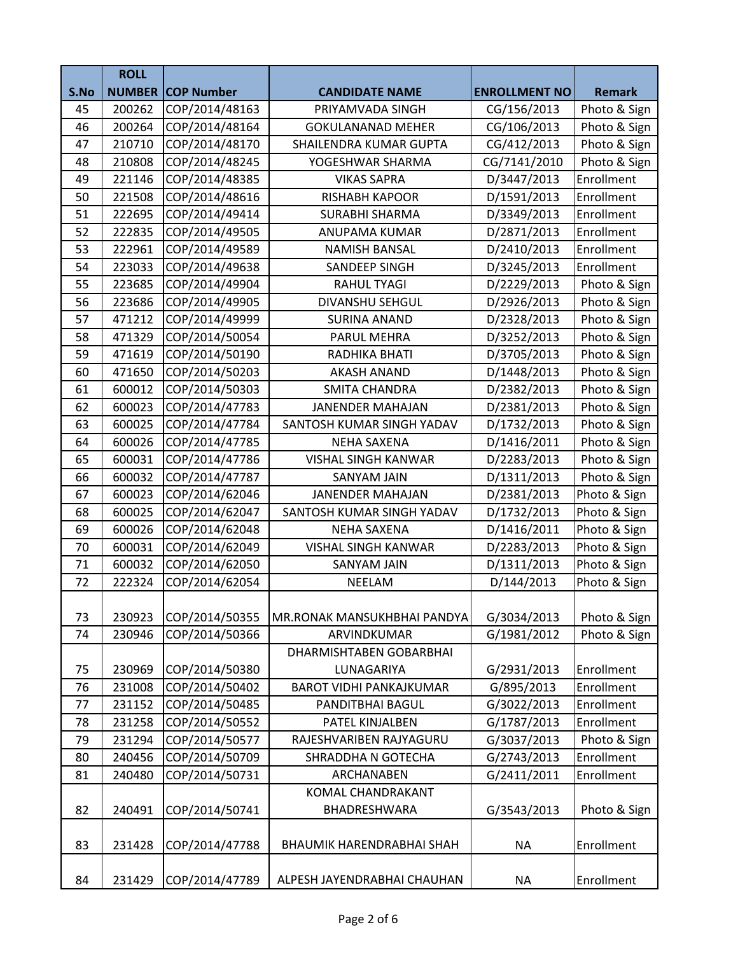|      | <b>ROLL</b> |                          |                                  |                      |               |
|------|-------------|--------------------------|----------------------------------|----------------------|---------------|
| S.No |             | <b>NUMBER COP Number</b> | <b>CANDIDATE NAME</b>            | <b>ENROLLMENT NO</b> | <b>Remark</b> |
| 45   | 200262      | COP/2014/48163           | PRIYAMVADA SINGH                 | CG/156/2013          | Photo & Sign  |
| 46   | 200264      | COP/2014/48164           | <b>GOKULANANAD MEHER</b>         | CG/106/2013          | Photo & Sign  |
| 47   | 210710      | COP/2014/48170           | SHAILENDRA KUMAR GUPTA           | CG/412/2013          | Photo & Sign  |
| 48   | 210808      | COP/2014/48245           | YOGESHWAR SHARMA                 | CG/7141/2010         | Photo & Sign  |
| 49   | 221146      | COP/2014/48385           | <b>VIKAS SAPRA</b>               | D/3447/2013          | Enrollment    |
| 50   | 221508      | COP/2014/48616           | RISHABH KAPOOR                   | D/1591/2013          | Enrollment    |
| 51   | 222695      | COP/2014/49414           | <b>SURABHI SHARMA</b>            | D/3349/2013          | Enrollment    |
| 52   | 222835      | COP/2014/49505           | ANUPAMA KUMAR                    | D/2871/2013          | Enrollment    |
| 53   | 222961      | COP/2014/49589           | <b>NAMISH BANSAL</b>             | D/2410/2013          | Enrollment    |
| 54   | 223033      | COP/2014/49638           | SANDEEP SINGH                    | D/3245/2013          | Enrollment    |
| 55   | 223685      | COP/2014/49904           | <b>RAHUL TYAGI</b>               | D/2229/2013          | Photo & Sign  |
| 56   | 223686      | COP/2014/49905           | <b>DIVANSHU SEHGUL</b>           | D/2926/2013          | Photo & Sign  |
| 57   | 471212      | COP/2014/49999           | <b>SURINA ANAND</b>              | D/2328/2013          | Photo & Sign  |
| 58   | 471329      | COP/2014/50054           | PARUL MEHRA                      | D/3252/2013          | Photo & Sign  |
| 59   | 471619      | COP/2014/50190           | RADHIKA BHATI                    | D/3705/2013          | Photo & Sign  |
| 60   | 471650      | COP/2014/50203           | <b>AKASH ANAND</b>               | D/1448/2013          | Photo & Sign  |
| 61   | 600012      | COP/2014/50303           | <b>SMITA CHANDRA</b>             | D/2382/2013          | Photo & Sign  |
| 62   | 600023      | COP/2014/47783           | <b>JANENDER MAHAJAN</b>          | D/2381/2013          | Photo & Sign  |
| 63   | 600025      | COP/2014/47784           | SANTOSH KUMAR SINGH YADAV        | D/1732/2013          | Photo & Sign  |
| 64   | 600026      | COP/2014/47785           | <b>NEHA SAXENA</b>               | D/1416/2011          | Photo & Sign  |
| 65   | 600031      | COP/2014/47786           | <b>VISHAL SINGH KANWAR</b>       | D/2283/2013          | Photo & Sign  |
| 66   | 600032      | COP/2014/47787           | <b>SANYAM JAIN</b>               | D/1311/2013          | Photo & Sign  |
| 67   | 600023      | COP/2014/62046           | <b>JANENDER MAHAJAN</b>          | D/2381/2013          | Photo & Sign  |
| 68   | 600025      | COP/2014/62047           | SANTOSH KUMAR SINGH YADAV        | D/1732/2013          | Photo & Sign  |
| 69   | 600026      | COP/2014/62048           | <b>NEHA SAXENA</b>               | D/1416/2011          | Photo & Sign  |
| 70   | 600031      | COP/2014/62049           | <b>VISHAL SINGH KANWAR</b>       | D/2283/2013          | Photo & Sign  |
| 71   | 600032      | COP/2014/62050           | <b>SANYAM JAIN</b>               | D/1311/2013          | Photo & Sign  |
| 72   | 222324      | COP/2014/62054           | <b>NEELAM</b>                    | D/144/2013           | Photo & Sign  |
|      |             |                          |                                  |                      |               |
| 73   | 230923      | COP/2014/50355           | MR.RONAK MANSUKHBHAI PANDYA      | G/3034/2013          | Photo & Sign  |
| 74   | 230946      | COP/2014/50366           | ARVINDKUMAR                      | G/1981/2012          | Photo & Sign  |
|      |             |                          | DHARMISHTABEN GOBARBHAI          |                      |               |
| 75   | 230969      | COP/2014/50380           | LUNAGARIYA                       | G/2931/2013          | Enrollment    |
| 76   | 231008      | COP/2014/50402           | <b>BAROT VIDHI PANKAJKUMAR</b>   | G/895/2013           | Enrollment    |
| 77   | 231152      | COP/2014/50485           | PANDITBHAI BAGUL                 | G/3022/2013          | Enrollment    |
| 78   | 231258      | COP/2014/50552           | PATEL KINJALBEN                  | G/1787/2013          | Enrollment    |
| 79   | 231294      | COP/2014/50577           | RAJESHVARIBEN RAJYAGURU          | G/3037/2013          | Photo & Sign  |
| 80   | 240456      | COP/2014/50709           | SHRADDHA N GOTECHA               | G/2743/2013          | Enrollment    |
| 81   | 240480      | COP/2014/50731           | ARCHANABEN                       | G/2411/2011          | Enrollment    |
|      |             |                          | <b>KOMAL CHANDRAKANT</b>         |                      |               |
| 82   | 240491      | COP/2014/50741           | BHADRESHWARA                     | G/3543/2013          | Photo & Sign  |
|      |             |                          |                                  |                      |               |
| 83   | 231428      | COP/2014/47788           | <b>BHAUMIK HARENDRABHAI SHAH</b> | <b>NA</b>            | Enrollment    |
|      |             |                          |                                  |                      |               |
| 84   | 231429      | COP/2014/47789           | ALPESH JAYENDRABHAI CHAUHAN      | <b>NA</b>            | Enrollment    |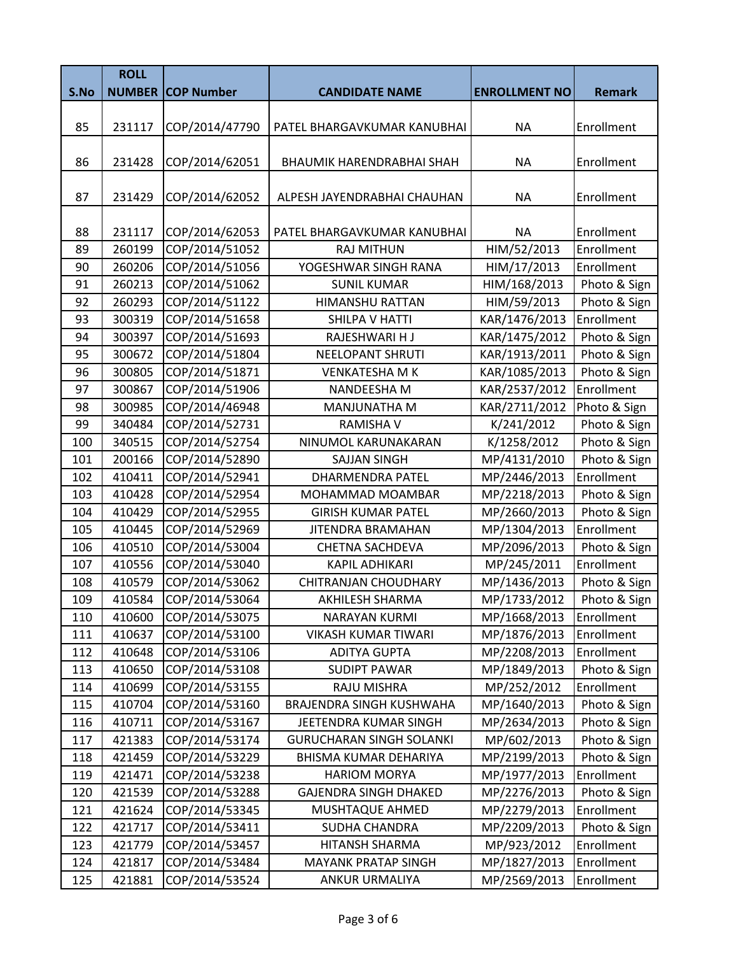|      | <b>ROLL</b>   |                   |                                 |                      |               |
|------|---------------|-------------------|---------------------------------|----------------------|---------------|
| S.No | <b>NUMBER</b> | <b>COP Number</b> | <b>CANDIDATE NAME</b>           | <b>ENROLLMENT NO</b> | <b>Remark</b> |
| 85   | 231117        | COP/2014/47790    | PATEL BHARGAVKUMAR KANUBHAI     | <b>NA</b>            | Enrollment    |
| 86   | 231428        | COP/2014/62051    | BHAUMIK HARENDRABHAI SHAH       | <b>NA</b>            | Enrollment    |
| 87   | 231429        | COP/2014/62052    | ALPESH JAYENDRABHAI CHAUHAN     | <b>NA</b>            | Enrollment    |
| 88   | 231117        | COP/2014/62053    | PATEL BHARGAVKUMAR KANUBHAI     | <b>NA</b>            | Enrollment    |
| 89   | 260199        | COP/2014/51052    | <b>RAJ MITHUN</b>               | HIM/52/2013          | Enrollment    |
| 90   | 260206        | COP/2014/51056    | YOGESHWAR SINGH RANA            | HIM/17/2013          | Enrollment    |
| 91   | 260213        | COP/2014/51062    | <b>SUNIL KUMAR</b>              | HIM/168/2013         | Photo & Sign  |
| 92   | 260293        | COP/2014/51122    | <b>HIMANSHU RATTAN</b>          | HIM/59/2013          | Photo & Sign  |
| 93   | 300319        | COP/2014/51658    | <b>SHILPA V HATTI</b>           | KAR/1476/2013        | Enrollment    |
| 94   | 300397        | COP/2014/51693    | RAJESHWARI H J                  | KAR/1475/2012        | Photo & Sign  |
| 95   | 300672        | COP/2014/51804    | <b>NEELOPANT SHRUTI</b>         | KAR/1913/2011        | Photo & Sign  |
| 96   | 300805        | COP/2014/51871    | <b>VENKATESHA M K</b>           | KAR/1085/2013        | Photo & Sign  |
| 97   | 300867        | COP/2014/51906    | NANDEESHA M                     | KAR/2537/2012        | Enrollment    |
| 98   | 300985        | COP/2014/46948    | MANJUNATHA M                    | KAR/2711/2012        | Photo & Sign  |
| 99   | 340484        | COP/2014/52731    | <b>RAMISHA V</b>                | K/241/2012           | Photo & Sign  |
| 100  | 340515        | COP/2014/52754    | NINUMOL KARUNAKARAN             | K/1258/2012          | Photo & Sign  |
| 101  | 200166        | COP/2014/52890    | <b>SAJJAN SINGH</b>             | MP/4131/2010         | Photo & Sign  |
| 102  | 410411        | COP/2014/52941    | <b>DHARMENDRA PATEL</b>         | MP/2446/2013         | Enrollment    |
| 103  | 410428        | COP/2014/52954    | MOHAMMAD MOAMBAR                | MP/2218/2013         | Photo & Sign  |
| 104  | 410429        | COP/2014/52955    | <b>GIRISH KUMAR PATEL</b>       | MP/2660/2013         | Photo & Sign  |
| 105  | 410445        | COP/2014/52969    | JITENDRA BRAMAHAN               | MP/1304/2013         | Enrollment    |
| 106  | 410510        | COP/2014/53004    | CHETNA SACHDEVA                 | MP/2096/2013         | Photo & Sign  |
| 107  | 410556        | COP/2014/53040    | <b>KAPIL ADHIKARI</b>           | MP/245/2011          | Enrollment    |
| 108  | 410579        | COP/2014/53062    | CHITRANJAN CHOUDHARY            | MP/1436/2013         | Photo & Sign  |
| 109  | 410584        | COP/2014/53064    | <b>AKHILESH SHARMA</b>          | MP/1733/2012         | Photo & Sign  |
| 110  | 410600        | COP/2014/53075    | <b>NARAYAN KURMI</b>            | MP/1668/2013         | Enrollment    |
| 111  | 410637        | COP/2014/53100    | <b>VIKASH KUMAR TIWARI</b>      | MP/1876/2013         | Enrollment    |
| 112  | 410648        | COP/2014/53106    | <b>ADITYA GUPTA</b>             | MP/2208/2013         | Enrollment    |
| 113  | 410650        | COP/2014/53108    | <b>SUDIPT PAWAR</b>             | MP/1849/2013         | Photo & Sign  |
| 114  | 410699        | COP/2014/53155    | RAJU MISHRA                     | MP/252/2012          | Enrollment    |
| 115  | 410704        | COP/2014/53160    | BRAJENDRA SINGH KUSHWAHA        | MP/1640/2013         | Photo & Sign  |
| 116  | 410711        | COP/2014/53167    | JEETENDRA KUMAR SINGH           | MP/2634/2013         | Photo & Sign  |
| 117  | 421383        | COP/2014/53174    | <b>GURUCHARAN SINGH SOLANKI</b> | MP/602/2013          | Photo & Sign  |
| 118  | 421459        | COP/2014/53229    | BHISMA KUMAR DEHARIYA           | MP/2199/2013         | Photo & Sign  |
| 119  | 421471        | COP/2014/53238    | <b>HARIOM MORYA</b>             | MP/1977/2013         | Enrollment    |
| 120  | 421539        | COP/2014/53288    | <b>GAJENDRA SINGH DHAKED</b>    | MP/2276/2013         | Photo & Sign  |
| 121  | 421624        | COP/2014/53345    | MUSHTAQUE AHMED                 | MP/2279/2013         | Enrollment    |
| 122  | 421717        | COP/2014/53411    | SUDHA CHANDRA                   | MP/2209/2013         | Photo & Sign  |
| 123  | 421779        | COP/2014/53457    | HITANSH SHARMA                  | MP/923/2012          | Enrollment    |
| 124  | 421817        | COP/2014/53484    | <b>MAYANK PRATAP SINGH</b>      | MP/1827/2013         | Enrollment    |
| 125  | 421881        | COP/2014/53524    | ANKUR URMALIYA                  | MP/2569/2013         | Enrollment    |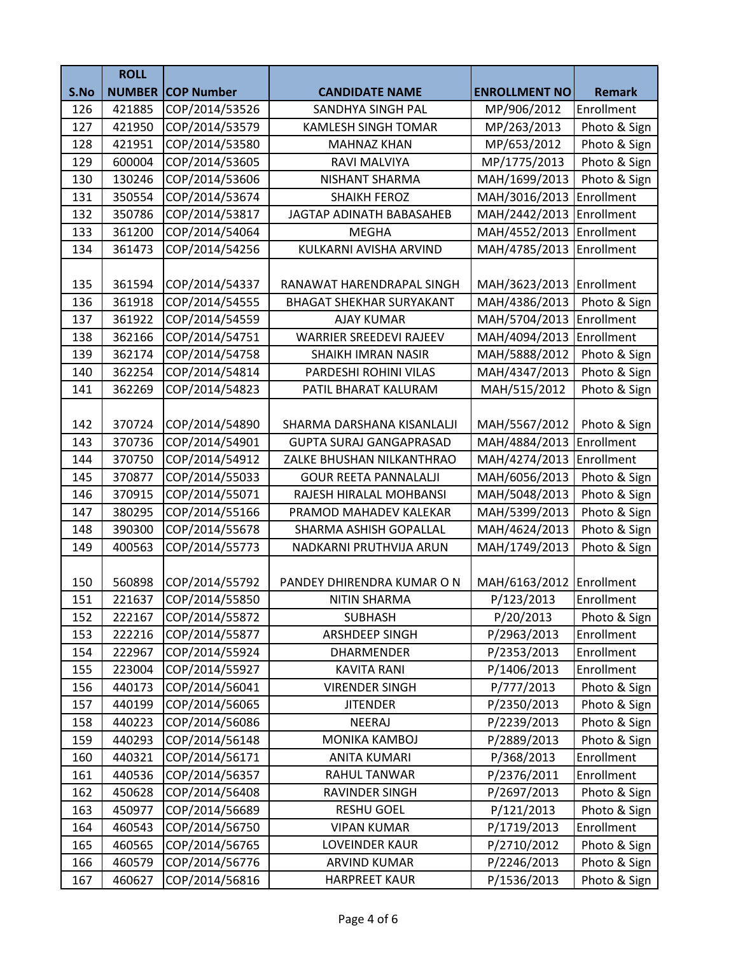|      | <b>ROLL</b>   |                   |                                 |                      |               |
|------|---------------|-------------------|---------------------------------|----------------------|---------------|
| S.No | <b>NUMBER</b> | <b>COP Number</b> | <b>CANDIDATE NAME</b>           | <b>ENROLLMENT NO</b> | <b>Remark</b> |
| 126  | 421885        | COP/2014/53526    | SANDHYA SINGH PAL               | MP/906/2012          | Enrollment    |
| 127  | 421950        | COP/2014/53579    | <b>KAMLESH SINGH TOMAR</b>      | MP/263/2013          | Photo & Sign  |
| 128  | 421951        | COP/2014/53580    | <b>MAHNAZ KHAN</b>              | MP/653/2012          | Photo & Sign  |
| 129  | 600004        | COP/2014/53605    | RAVI MALVIYA                    | MP/1775/2013         | Photo & Sign  |
| 130  | 130246        | COP/2014/53606    | NISHANT SHARMA                  | MAH/1699/2013        | Photo & Sign  |
| 131  | 350554        | COP/2014/53674    | <b>SHAIKH FEROZ</b>             | MAH/3016/2013        | Enrollment    |
| 132  | 350786        | COP/2014/53817    | JAGTAP ADINATH BABASAHEB        | MAH/2442/2013        | Enrollment    |
| 133  | 361200        | COP/2014/54064    | <b>MEGHA</b>                    | MAH/4552/2013        | Enrollment    |
| 134  | 361473        | COP/2014/54256    | KULKARNI AVISHA ARVIND          | MAH/4785/2013        | Enrollment    |
|      |               |                   |                                 |                      |               |
| 135  | 361594        | COP/2014/54337    | RANAWAT HARENDRAPAL SINGH       | MAH/3623/2013        | Enrollment    |
| 136  | 361918        | COP/2014/54555    | <b>BHAGAT SHEKHAR SURYAKANT</b> | MAH/4386/2013        | Photo & Sign  |
| 137  | 361922        | COP/2014/54559    | <b>AJAY KUMAR</b>               | MAH/5704/2013        | Enrollment    |
| 138  | 362166        | COP/2014/54751    | <b>WARRIER SREEDEVI RAJEEV</b>  | MAH/4094/2013        | Enrollment    |
| 139  | 362174        | COP/2014/54758    | <b>SHAIKH IMRAN NASIR</b>       | MAH/5888/2012        | Photo & Sign  |
| 140  | 362254        | COP/2014/54814    | PARDESHI ROHINI VILAS           | MAH/4347/2013        | Photo & Sign  |
| 141  | 362269        | COP/2014/54823    | PATIL BHARAT KALURAM            | MAH/515/2012         | Photo & Sign  |
|      |               |                   |                                 |                      |               |
| 142  | 370724        | COP/2014/54890    | SHARMA DARSHANA KISANLALJI      | MAH/5567/2012        | Photo & Sign  |
| 143  | 370736        | COP/2014/54901    | <b>GUPTA SURAJ GANGAPRASAD</b>  | MAH/4884/2013        | Enrollment    |
| 144  | 370750        | COP/2014/54912    | ZALKE BHUSHAN NILKANTHRAO       | MAH/4274/2013        | Enrollment    |
| 145  | 370877        | COP/2014/55033    | <b>GOUR REETA PANNALALJI</b>    | MAH/6056/2013        | Photo & Sign  |
| 146  | 370915        | COP/2014/55071    | RAJESH HIRALAL MOHBANSI         | MAH/5048/2013        | Photo & Sign  |
| 147  | 380295        | COP/2014/55166    | PRAMOD MAHADEV KALEKAR          | MAH/5399/2013        | Photo & Sign  |
| 148  | 390300        | COP/2014/55678    | SHARMA ASHISH GOPALLAL          | MAH/4624/2013        | Photo & Sign  |
| 149  | 400563        | COP/2014/55773    | NADKARNI PRUTHVIJA ARUN         | MAH/1749/2013        | Photo & Sign  |
|      |               |                   |                                 |                      |               |
| 150  | 560898        | COP/2014/55792    | PANDEY DHIRENDRA KUMAR O N      | MAH/6163/2012        | Enrollment    |
| 151  | 221637        | COP/2014/55850    | NITIN SHARMA                    | P/123/2013           | Enrollment    |
| 152  | 222167        | COP/2014/55872    | <b>SUBHASH</b>                  | P/20/2013            | Photo & Sign  |
| 153  | 222216        | COP/2014/55877    | ARSHDEEP SINGH                  | P/2963/2013          | Enrollment    |
| 154  | 222967        | COP/2014/55924    | <b>DHARMENDER</b>               | P/2353/2013          | Enrollment    |
| 155  | 223004        | COP/2014/55927    | <b>KAVITA RANI</b>              | P/1406/2013          | Enrollment    |
| 156  | 440173        | COP/2014/56041    | <b>VIRENDER SINGH</b>           | P/777/2013           | Photo & Sign  |
| 157  | 440199        | COP/2014/56065    | <b>JITENDER</b>                 | P/2350/2013          | Photo & Sign  |
| 158  | 440223        | COP/2014/56086    | NEERAJ                          | P/2239/2013          | Photo & Sign  |
| 159  | 440293        | COP/2014/56148    | MONIKA KAMBOJ                   | P/2889/2013          | Photo & Sign  |
| 160  | 440321        | COP/2014/56171    | <b>ANITA KUMARI</b>             | P/368/2013           | Enrollment    |
| 161  | 440536        | COP/2014/56357    | RAHUL TANWAR                    | P/2376/2011          | Enrollment    |
| 162  | 450628        | COP/2014/56408    | RAVINDER SINGH                  | P/2697/2013          | Photo & Sign  |
| 163  | 450977        | COP/2014/56689    | <b>RESHU GOEL</b>               | P/121/2013           | Photo & Sign  |
| 164  | 460543        | COP/2014/56750    | <b>VIPAN KUMAR</b>              | P/1719/2013          | Enrollment    |
| 165  | 460565        | COP/2014/56765    | LOVEINDER KAUR                  | P/2710/2012          | Photo & Sign  |
| 166  | 460579        | COP/2014/56776    | ARVIND KUMAR                    | P/2246/2013          | Photo & Sign  |
| 167  | 460627        | COP/2014/56816    | <b>HARPREET KAUR</b>            | P/1536/2013          | Photo & Sign  |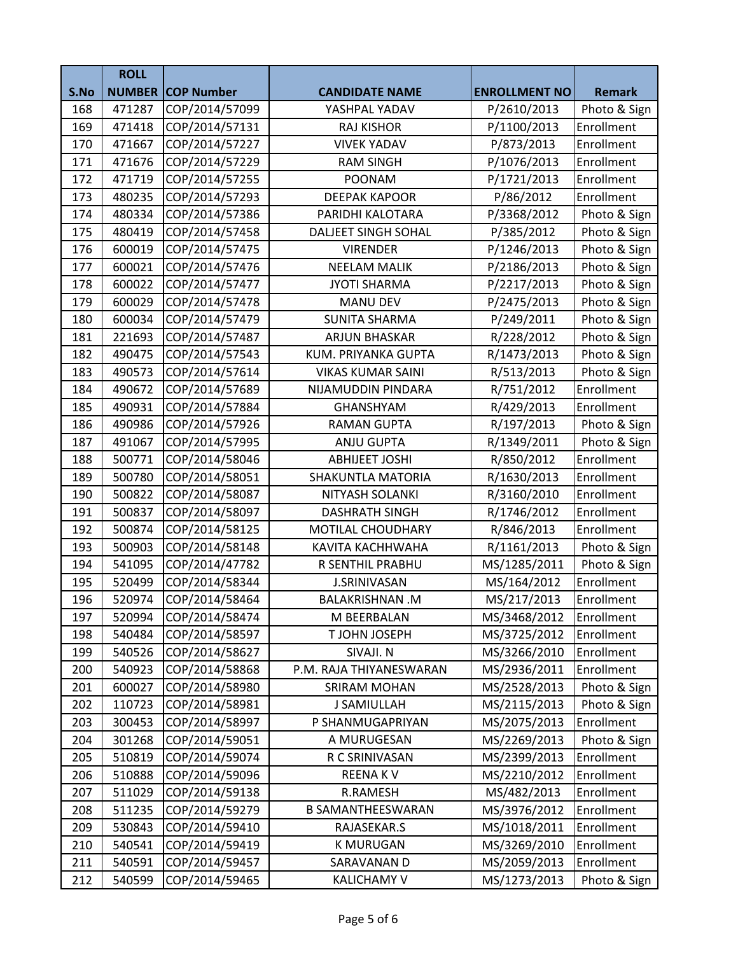|      | <b>ROLL</b>   |                   |                            |                      |               |
|------|---------------|-------------------|----------------------------|----------------------|---------------|
| S.No | <b>NUMBER</b> | <b>COP Number</b> | <b>CANDIDATE NAME</b>      | <b>ENROLLMENT NO</b> | <b>Remark</b> |
| 168  | 471287        | COP/2014/57099    | YASHPAL YADAV              | P/2610/2013          | Photo & Sign  |
| 169  | 471418        | COP/2014/57131    | <b>RAJ KISHOR</b>          | P/1100/2013          | Enrollment    |
| 170  | 471667        | COP/2014/57227    | <b>VIVEK YADAV</b>         | P/873/2013           | Enrollment    |
| 171  | 471676        | COP/2014/57229    | <b>RAM SINGH</b>           | P/1076/2013          | Enrollment    |
| 172  | 471719        | COP/2014/57255    | POONAM                     | P/1721/2013          | Enrollment    |
| 173  | 480235        | COP/2014/57293    | <b>DEEPAK KAPOOR</b>       | P/86/2012            | Enrollment    |
| 174  | 480334        | COP/2014/57386    | PARIDHI KALOTARA           | P/3368/2012          | Photo & Sign  |
| 175  | 480419        | COP/2014/57458    | <b>DALJEET SINGH SOHAL</b> | P/385/2012           | Photo & Sign  |
| 176  | 600019        | COP/2014/57475    | <b>VIRENDER</b>            | P/1246/2013          | Photo & Sign  |
| 177  | 600021        | COP/2014/57476    | <b>NEELAM MALIK</b>        | P/2186/2013          | Photo & Sign  |
| 178  | 600022        | COP/2014/57477    | <b>JYOTI SHARMA</b>        | P/2217/2013          | Photo & Sign  |
| 179  | 600029        | COP/2014/57478    | <b>MANU DEV</b>            | P/2475/2013          | Photo & Sign  |
| 180  | 600034        | COP/2014/57479    | <b>SUNITA SHARMA</b>       | P/249/2011           | Photo & Sign  |
| 181  | 221693        | COP/2014/57487    | <b>ARJUN BHASKAR</b>       | R/228/2012           | Photo & Sign  |
| 182  | 490475        | COP/2014/57543    | KUM. PRIYANKA GUPTA        | R/1473/2013          | Photo & Sign  |
| 183  | 490573        | COP/2014/57614    | <b>VIKAS KUMAR SAINI</b>   | R/513/2013           | Photo & Sign  |
| 184  | 490672        | COP/2014/57689    | NIJAMUDDIN PINDARA         | R/751/2012           | Enrollment    |
| 185  | 490931        | COP/2014/57884    | <b>GHANSHYAM</b>           | R/429/2013           | Enrollment    |
| 186  | 490986        | COP/2014/57926    | <b>RAMAN GUPTA</b>         | R/197/2013           | Photo & Sign  |
| 187  | 491067        | COP/2014/57995    | <b>ANJU GUPTA</b>          | R/1349/2011          | Photo & Sign  |
| 188  | 500771        | COP/2014/58046    | <b>ABHIJEET JOSHI</b>      | R/850/2012           | Enrollment    |
| 189  | 500780        | COP/2014/58051    | SHAKUNTLA MATORIA          | R/1630/2013          | Enrollment    |
| 190  | 500822        | COP/2014/58087    | NITYASH SOLANKI            | R/3160/2010          | Enrollment    |
| 191  | 500837        | COP/2014/58097    | <b>DASHRATH SINGH</b>      | R/1746/2012          | Enrollment    |
| 192  | 500874        | COP/2014/58125    | MOTILAL CHOUDHARY          | R/846/2013           | Enrollment    |
| 193  | 500903        | COP/2014/58148    | KAVITA KACHHWAHA           | R/1161/2013          | Photo & Sign  |
| 194  | 541095        | COP/2014/47782    | R SENTHIL PRABHU           | MS/1285/2011         | Photo & Sign  |
| 195  | 520499        | COP/2014/58344    | <b>J.SRINIVASAN</b>        | MS/164/2012          | Enrollment    |
| 196  | 520974        | COP/2014/58464    | <b>BALAKRISHNAN.M</b>      | MS/217/2013          | Enrollment    |
| 197  | 520994        | COP/2014/58474    | M BEERBALAN                | MS/3468/2012         | Enrollment    |
| 198  | 540484        | COP/2014/58597    | T JOHN JOSEPH              | MS/3725/2012         | Enrollment    |
| 199  | 540526        | COP/2014/58627    | SIVAJI. N                  | MS/3266/2010         | Enrollment    |
| 200  | 540923        | COP/2014/58868    | P.M. RAJA THIYANESWARAN    | MS/2936/2011         | Enrollment    |
| 201  | 600027        | COP/2014/58980    | <b>SRIRAM MOHAN</b>        | MS/2528/2013         | Photo & Sign  |
| 202  | 110723        | COP/2014/58981    | <b>J SAMIULLAH</b>         | MS/2115/2013         | Photo & Sign  |
| 203  | 300453        | COP/2014/58997    | P SHANMUGAPRIYAN           | MS/2075/2013         | Enrollment    |
| 204  | 301268        | COP/2014/59051    | A MURUGESAN                | MS/2269/2013         | Photo & Sign  |
| 205  | 510819        | COP/2014/59074    | R C SRINIVASAN             | MS/2399/2013         | Enrollment    |
| 206  | 510888        | COP/2014/59096    | <b>REENAKV</b>             | MS/2210/2012         | Enrollment    |
| 207  | 511029        | COP/2014/59138    | R.RAMESH                   | MS/482/2013          | Enrollment    |
| 208  | 511235        | COP/2014/59279    | <b>B SAMANTHEESWARAN</b>   | MS/3976/2012         | Enrollment    |
| 209  | 530843        | COP/2014/59410    | RAJASEKAR.S                | MS/1018/2011         | Enrollment    |
| 210  | 540541        | COP/2014/59419    | <b>K MURUGAN</b>           | MS/3269/2010         | Enrollment    |
| 211  | 540591        | COP/2014/59457    | SARAVANAN D                | MS/2059/2013         | Enrollment    |
| 212  | 540599        | COP/2014/59465    | <b>KALICHAMY V</b>         | MS/1273/2013         | Photo & Sign  |